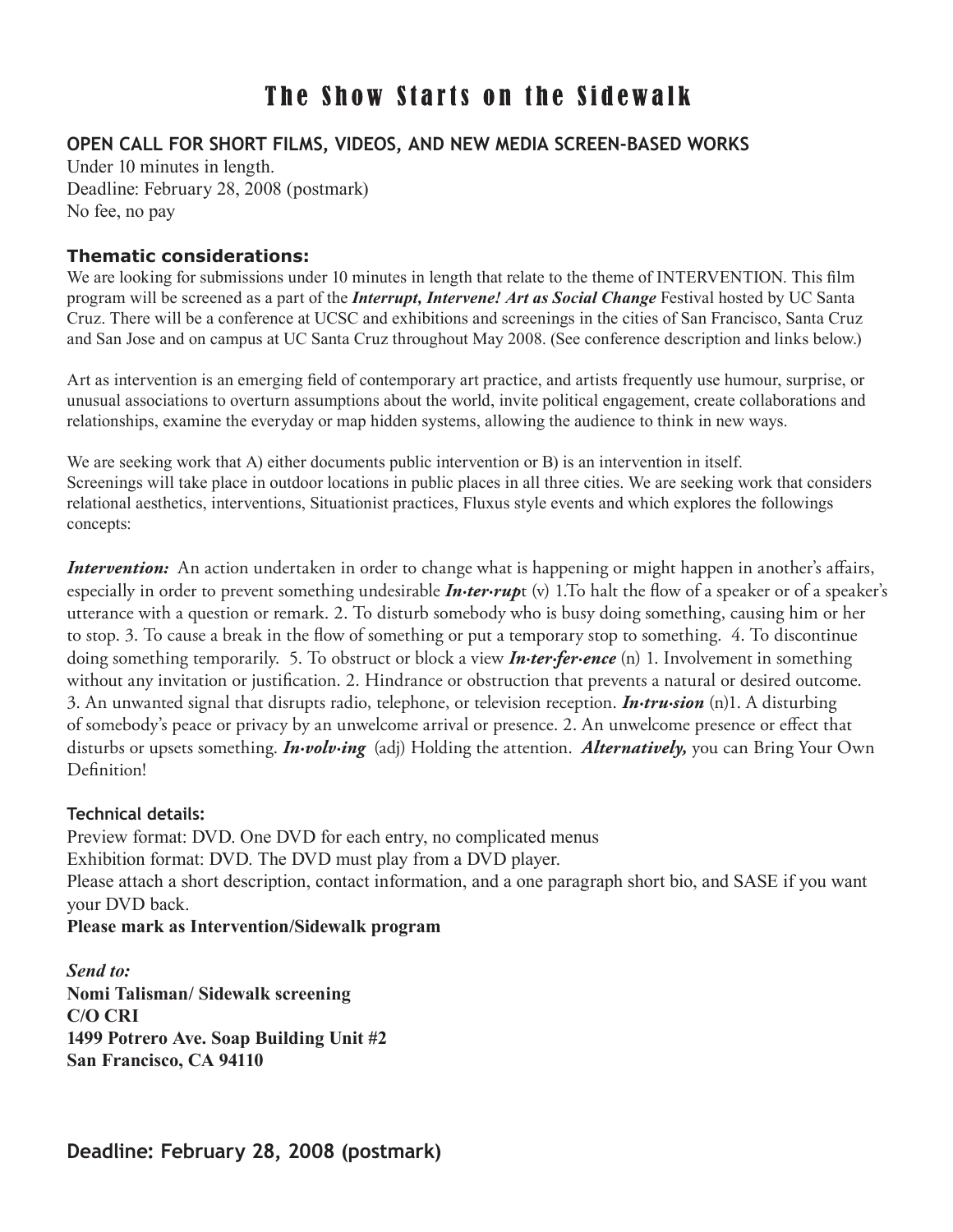# The Show Starts on the Sidewalk

## **OPEN CALL FOR SHORT FILMS, VIDEOS, AND NEW MEDIA SCREEN-BASED WORKS**

Under 10 minutes in length. Deadline: February 28, 2008 (postmark) No fee, no pay

#### **Thematic considerations:**

We are looking for submissions under 10 minutes in length that relate to the theme of INTERVENTION. This film program will be screened as a part of the *Interrupt, Intervene! Art as Social Change* Festival hosted by UC Santa Cruz. There will be a conference at UCSC and exhibitions and screenings in the cities of San Francisco, Santa Cruz and San Jose and on campus at UC Santa Cruz throughout May 2008. (See conference description and links below.)

Art as intervention is an emerging field of contemporary art practice, and artists frequently use humour, surprise, or unusual associations to overturn assumptions about the world, invite political engagement, create collaborations and relationships, examine the everyday or map hidden systems, allowing the audience to think in new ways.

We are seeking work that A) either documents public intervention or B) is an intervention in itself. Screenings will take place in outdoor locations in public places in all three cities. We are seeking work that considers relational aesthetics, interventions, Situationist practices, Fluxus style events and which explores the followings concepts:

*Intervention:* An action undertaken in order to change what is happening or might happen in another's affairs, especially in order to prevent something undesirable *In·ter·rup*t (v) 1.To halt the flow of a speaker or of a speaker's utterance with a question or remark. 2. To disturb somebody who is busy doing something, causing him or her to stop. 3. To cause a break in the flow of something or put a temporary stop to something. 4. To discontinue doing something temporarily. 5. To obstruct or block a view *In·ter·fer·ence* (n) 1. Involvement in something without any invitation or justification. 2. Hindrance or obstruction that prevents a natural or desired outcome. 3. An unwanted signal that disrupts radio, telephone, or television reception. *In·tru·sion* (n)1. A disturbing of somebody's peace or privacy by an unwelcome arrival or presence. 2. An unwelcome presence or effect that disturbs or upsets something. *In·volv·ing* (adj) Holding the attention. *Alternatively,* you can Bring Your Own Definition!

#### **Technical details:**

Preview format: DVD. One DVD for each entry, no complicated menus Exhibition format: DVD. The DVD must play from a DVD player. Please attach a short description, contact information, and a one paragraph short bio, and SASE if you want your DVD back.

#### **Please mark as Intervention/Sidewalk program**

*Send to:*  **Nomi Talisman/ Sidewalk screening C/O CRI 1499 Potrero Ave. Soap Building Unit #2 San Francisco, CA 94110**